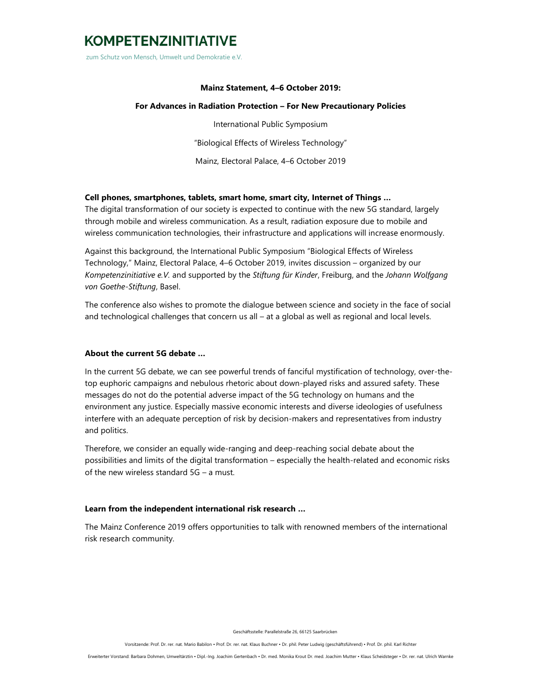## **KOMPETENZINITIATIVE**

zum Schutz von Mensch, Umwelt und Demokratie e.V.

#### **Mainz Statement, 4–6 October 2019:**

#### **For Advances in Radiation Protection – For New Precautionary Policies**

International Public Symposium "Biological Effects of Wireless Technology" Mainz, Electoral Palace, 4–6 October 2019

## **Cell phones, smartphones, tablets, smart home, smart city, Internet of Things …**

The digital transformation of our society is expected to continue with the new 5G standard, largely through mobile and wireless communication. As a result, radiation exposure due to mobile and wireless communication technologies, their infrastructure and applications will increase enormously.

Against this background, the International Public Symposium "Biological Effects of Wireless Technology," Mainz, Electoral Palace, 4–6 October 2019, invites discussion – organized by our *Kompetenzinitiative e.V.* and supported by the *Stiftung für Kinder*, Freiburg, and the *Johann Wolfgang von Goethe-Stiftung*, Basel.

The conference also wishes to promote the dialogue between science and society in the face of social and technological challenges that concern us all – at a global as well as regional and local levels.

#### **About the current 5G debate …**

In the current 5G debate, we can see powerful trends of fanciful mystification of technology, over-thetop euphoric campaigns and nebulous rhetoric about down-played risks and assured safety. These messages do not do the potential adverse impact of the 5G technology on humans and the environment any justice. Especially massive economic interests and diverse ideologies of usefulness interfere with an adequate perception of risk by decision-makers and representatives from industry and politics.

Therefore, we consider an equally wide-ranging and deep-reaching social debate about the possibilities and limits of the digital transformation – especially the health-related and economic risks of the new wireless standard 5G – a must.

#### **Learn from the independent international risk research …**

The Mainz Conference 2019 offers opportunities to talk with renowned members of the international risk research community.

Geschäftsstelle: Parallelstraße 26, 66125 Saarbrücken

Vorsitzende: Prof. Dr. rer. nat. Mario Babilon • Prof. Dr. rer. nat. Klaus Buchner • Dr. phil. Peter Ludwig (geschäftsführend) • Prof. Dr. phil. Karl Richter

Erweiterter Vorstand: Barbara Dohmen, Umweltärztin • Dipl.-Ing. Joachim Gertenbach • Dr. med. Monika Krout Dr. med. Joachim Mutter • Klaus Scheidsteger • Dr. rer. nat. Ulrich Warnke